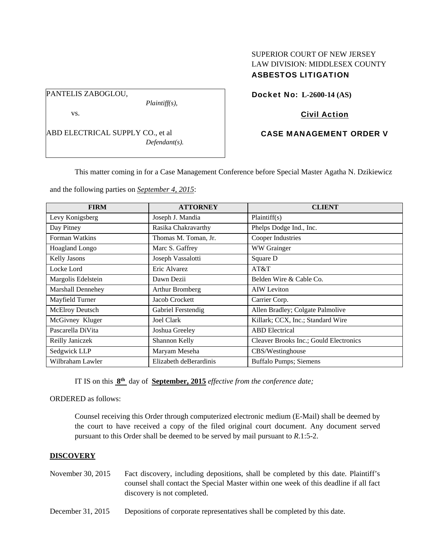### PANTELIS ZABOGLOU,

*Plaintiff(s),* 

vs.

ABD ELECTRICAL SUPPLY CO., et al *Defendant(s).* 

## SUPERIOR COURT OF NEW JERSEY LAW DIVISION: MIDDLESEX COUNTY ASBESTOS LITIGATION

Docket No: **L-2600-14 (AS)** 

## Civil Action

## CASE MANAGEMENT ORDER V

This matter coming in for a Case Management Conference before Special Master Agatha N. Dzikiewicz

and the following parties on *September 4, 2015*:

| <b>FIRM</b>            | <b>ATTORNEY</b>        | <b>CLIENT</b>                          |
|------------------------|------------------------|----------------------------------------|
| Levy Konigsberg        | Joseph J. Mandia       | Plaintiff(s)                           |
| Day Pitney             | Rasika Chakravarthy    | Phelps Dodge Ind., Inc.                |
| Forman Watkins         | Thomas M. Toman, Jr.   | Cooper Industries                      |
| Hoagland Longo         | Marc S. Gaffrey        | WW Grainger                            |
| <b>Kelly Jasons</b>    | Joseph Vassalotti      | Square D                               |
| Locke Lord             | Eric Alvarez           | AT&T                                   |
| Margolis Edelstein     | Dawn Dezii             | Belden Wire & Cable Co.                |
| Marshall Dennehey      | Arthur Bromberg        | <b>AIW</b> Leviton                     |
| Mayfield Turner        | Jacob Crockett         | Carrier Corp.                          |
| <b>McElroy Deutsch</b> | Gabriel Ferstendig     | Allen Bradley; Colgate Palmolive       |
| McGivney Kluger        | <b>Joel Clark</b>      | Killark; CCX, Inc.; Standard Wire      |
| Pascarella DiVita      | Joshua Greeley         | <b>ABD</b> Electrical                  |
| Reilly Janiczek        | Shannon Kelly          | Cleaver Brooks Inc.; Gould Electronics |
| Sedgwick LLP           | Maryam Meseha          | CBS/Westinghouse                       |
| Wilbraham Lawler       | Elizabeth deBerardinis | Buffalo Pumps; Siemens                 |

IT IS on this **8th** day of **September, 2015** *effective from the conference date;*

ORDERED as follows:

Counsel receiving this Order through computerized electronic medium (E-Mail) shall be deemed by the court to have received a copy of the filed original court document. Any document served pursuant to this Order shall be deemed to be served by mail pursuant to *R*.1:5-2.

### **DISCOVERY**

- November 30, 2015 Fact discovery, including depositions, shall be completed by this date. Plaintiff's counsel shall contact the Special Master within one week of this deadline if all fact discovery is not completed.
- December 31, 2015 Depositions of corporate representatives shall be completed by this date.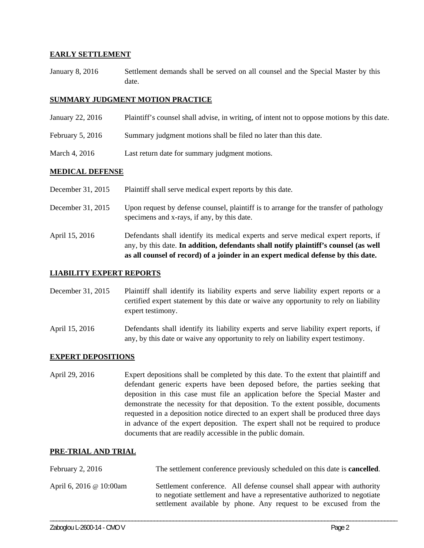### **EARLY SETTLEMENT**

January 8, 2016 Settlement demands shall be served on all counsel and the Special Master by this date.

### **SUMMARY JUDGMENT MOTION PRACTICE**

- January 22, 2016 Plaintiff's counsel shall advise, in writing, of intent not to oppose motions by this date.
- February 5, 2016 Summary judgment motions shall be filed no later than this date.
- March 4, 2016 Last return date for summary judgment motions.

### **MEDICAL DEFENSE**

- December 31, 2015 Plaintiff shall serve medical expert reports by this date.
- December 31, 2015 Upon request by defense counsel, plaintiff is to arrange for the transfer of pathology specimens and x-rays, if any, by this date.
- April 15, 2016 Defendants shall identify its medical experts and serve medical expert reports, if any, by this date. **In addition, defendants shall notify plaintiff's counsel (as well as all counsel of record) of a joinder in an expert medical defense by this date.**

### **LIABILITY EXPERT REPORTS**

- December 31, 2015 Plaintiff shall identify its liability experts and serve liability expert reports or a certified expert statement by this date or waive any opportunity to rely on liability expert testimony.
- April 15, 2016 Defendants shall identify its liability experts and serve liability expert reports, if any, by this date or waive any opportunity to rely on liability expert testimony.

### **EXPERT DEPOSITIONS**

April 29, 2016 Expert depositions shall be completed by this date. To the extent that plaintiff and defendant generic experts have been deposed before, the parties seeking that deposition in this case must file an application before the Special Master and demonstrate the necessity for that deposition. To the extent possible, documents requested in a deposition notice directed to an expert shall be produced three days in advance of the expert deposition. The expert shall not be required to produce documents that are readily accessible in the public domain.

### **PRE-TRIAL AND TRIAL**

| February 2, $2016$      | The settlement conference previously scheduled on this date is <b>cancelled</b> .                                                                                                                                        |  |
|-------------------------|--------------------------------------------------------------------------------------------------------------------------------------------------------------------------------------------------------------------------|--|
| April 6, 2016 @ 10:00am | Settlement conference. All defense counsel shall appear with authority<br>to negotiate settlement and have a representative authorized to negotiate<br>settlement available by phone. Any request to be excused from the |  |

\_\_\_\_\_\_\_\_\_\_\_\_\_\_\_\_\_\_\_\_\_\_\_\_\_\_\_\_\_\_\_\_\_\_\_\_\_\_\_\_\_\_\_\_\_\_\_\_\_\_\_\_\_\_\_\_\_\_\_\_\_\_\_\_\_\_\_\_\_\_\_\_\_\_\_\_\_\_\_\_\_\_\_\_\_\_\_\_\_\_\_\_\_\_\_\_\_\_\_\_\_\_\_\_\_\_\_\_\_\_